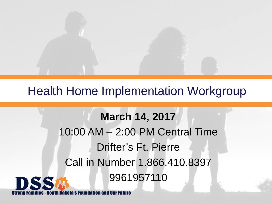

### Health Home Implementation Workgroup

### **March 14, 2017** 10:00 AM – 2:00 PM Central Time Drifter's Ft. Pierre Call in Number 1.866.410.8397 9961957110DSS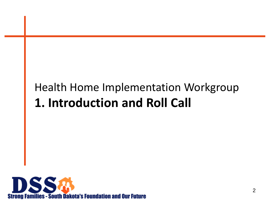# Health Home Implementation Workgroup **1. Introduction and Roll Call**

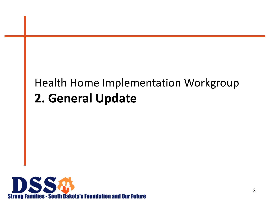# Health Home Implementation Workgroup **2. General Update**

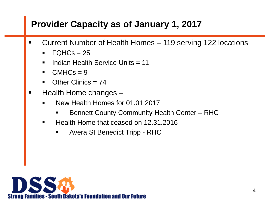### **Provider Capacity as of January 1, 2017**

- Current Number of Health Homes 119 serving 122 locations
	- $FQHCs = 25$
	- Indian Health Service Units = 11
	- $\blacksquare$  CMHCs = 9
	- $\blacksquare$  Other Clinics = 74
- Health Home changes
	- New Health Homes for 01.01.2017
		- Bennett County Community Health Center RHC
	- Health Home that ceased on 12.31.2016
		- **Avera St Benedict Tripp RHC**

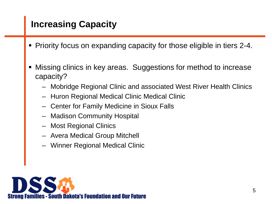### **Increasing Capacity**

- **Priority focus on expanding capacity for those eligible in tiers 2-4.**
- Missing clinics in key areas. Suggestions for method to increase capacity?
	- Mobridge Regional Clinic and associated West River Health Clinics
	- Huron Regional Medical Clinic Medical Clinic
	- Center for Family Medicine in Sioux Falls
	- Madison Community Hospital
	- Most Regional Clinics
	- Avera Medical Group Mitchell
	- Winner Regional Medical Clinic

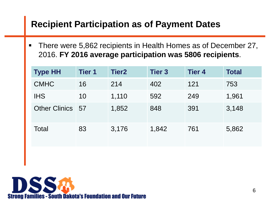#### **Recipient Participation as of Payment Dates**

 There were 5,862 recipients in Health Homes as of December 27, 2016. **FY 2016 average participation was 5806 recipients**.

| <b>Type HH</b>       | <b>Tier 1</b> | Tier <sub>2</sub> | <b>Tier 3</b> | <b>Tier 4</b> | <b>Total</b> |
|----------------------|---------------|-------------------|---------------|---------------|--------------|
| <b>CMHC</b>          | 16            | 214               | 402           | 121           | 753          |
| <b>IHS</b>           | 10            | 1,110             | 592           | 249           | 1,961        |
| <b>Other Clinics</b> | - 57          | 1,852             | 848           | 391           | 3,148        |
| Total                | 83            | 3,176             | 1,842         | 761           | 5,862        |

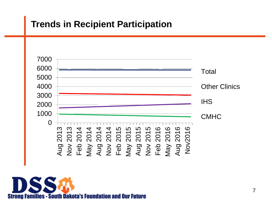### **Trends in Recipient Participation**



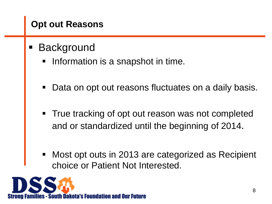### **Opt out Reasons**

- **Background** 
	- Information is a snapshot in time.
	- Data on opt out reasons fluctuates on a daily basis.
	- True tracking of opt out reason was not completed and or standardized until the beginning of 2014.
	- Most opt outs in 2013 are categorized as Recipient choice or Patient Not Interested.

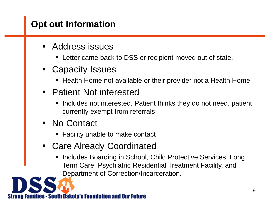### **Opt out Information**

- Address issues
	- Letter came back to DSS or recipient moved out of state.
- **Exercity Issues** 
	- **Health Home not available or their provider not a Health Home**
- Patient Not interested
	- **Includes not interested, Patient thinks they do not need, patient** currently exempt from referrals
- No Contact
	- Facility unable to make contact
- Care Already Coordinated
	- Includes Boarding in School, Child Protective Services, Long Term Care, Psychiatric Residential Treatment Facility, and Department of Correction/Incarceration.

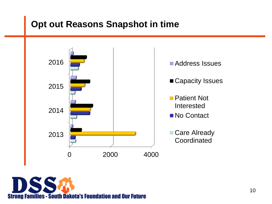### **Opt out Reasons Snapshot in time**



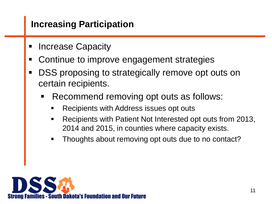### **Increasing Participation**

- Increase Capacity
- Continue to improve engagement strategies
- **DSS** proposing to strategically remove opt outs on certain recipients.
	- Recommend removing opt outs as follows:
		- Recipients with Address issues opt outs
		- Recipients with Patient Not Interested opt outs from 2013, 2014 and 2015, in counties where capacity exists.
		- **Thoughts about removing opt outs due to no contact?**

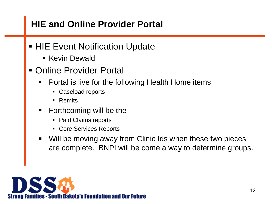### **HIE and Online Provider Portal**

- **HIE Event Notification Update** 
	- **Kevin Dewald**
- **Online Provider Portal** 
	- Portal is live for the following Health Home items
		- Caseload reports
		- **Remits**
	- $\blacksquare$  Forthcoming will be the
		- Paid Claims reports
		- Core Services Reports
	- Will be moving away from Clinic Ids when these two pieces are complete. BNPI will be come a way to determine groups.

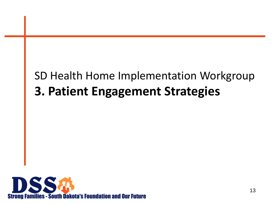## SD Health Home Implementation Workgroup **3. Patient Engagement Strategies**

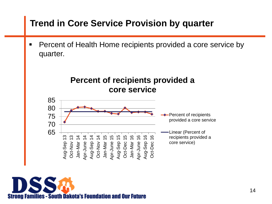### **Trend in Core Service Provision by quarter**

**Percent of Health Home recipients provided a core service by** quarter.



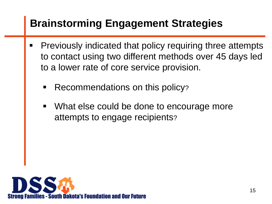## **Brainstorming Engagement Strategies**

- **Previously indicated that policy requiring three attempts** to contact using two different methods over 45 days led to a lower rate of core service provision.
	- Recommendations on this policy?
	- What else could be done to encourage more attempts to engage recipients?

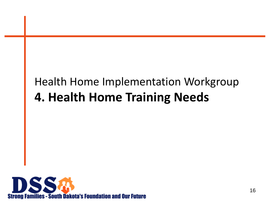## Health Home Implementation Workgroup **4. Health Home Training Needs**

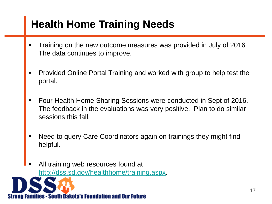## **Health Home Training Needs**

- Training on the new outcome measures was provided in July of 2016. The data continues to improve.
- Provided Online Portal Training and worked with group to help test the portal.
- Four Health Home Sharing Sessions were conducted in Sept of 2016. The feedback in the evaluations was very positive. Plan to do similar sessions this fall.
- Need to query Care Coordinators again on trainings they might find helpful.
- All training web resources found at [http://dss.sd.gov/healthhome/training.aspx.](http://dss.sd.gov/healthhome/training.aspx)

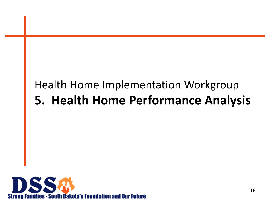## Health Home Implementation Workgroup **5. Health Home Performance Analysis**

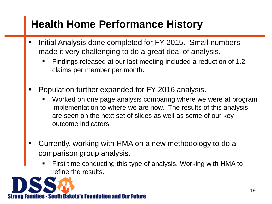### **Health Home Performance History**

- Initial Analysis done completed for FY 2015. Small numbers made it very challenging to do a great deal of analysis.
	- Findings released at our last meeting included a reduction of 1.2 claims per member per month.
- Population further expanded for FY 2016 analysis.
	- Worked on one page analysis comparing where we were at program implementation to where we are now. The results of this analysis are seen on the next set of slides as well as some of our key outcome indicators.
- Currently, working with HMA on a new methodology to do a comparison group analysis.
	- First time conducting this type of analysis. Working with HMA to refine the results.

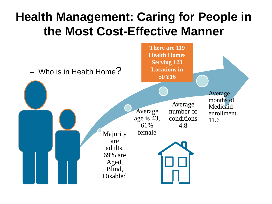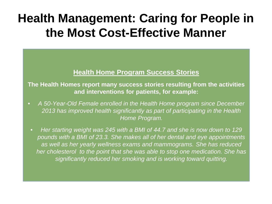#### **Health Home Program Success Stories**

**The Health Homes report many success stories resulting from the activities and interventions for patients, for example:**

- *A 50-Year-Old Female enrolled in the Health Home program since December 2013 has improved health significantly as part of participating in the Health Home Program.*
- *Her starting weight was 245 with a BMI of 44.7 and she is now down to 129 pounds with a BMI of 23.3. She makes all of her dental and eye appointments as well as her yearly wellness exams and mammograms. She has reduced her cholesterol to the point that she was able to stop one medication. She has significantly reduced her smoking and is working toward quitting.*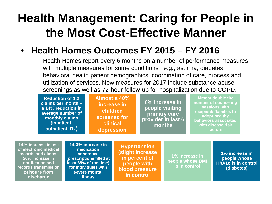#### • **Health Homes Outcomes FY 2015 – FY 2016**

**14% increase in use of electronic medical records and almost 50% l**i **notific records** t **24 hours** 

**discharge** 

**illness.**

– Health Homes report every 6 months on a number of performance measures with multiple measures for some conditions , e.g., asthma, diabetes, behavioral health patient demographics, coordination of care, process and utilization of services. New measures for 2017 include substance abuse screenings as well as 72-hour follow-up for hospitalization due to COPD.

| <b>Reduction of 1.2</b><br>claims per month $-$<br>a 14% reduction in<br>average number of<br>monthly claims<br>(inpatient,<br>outpatient, Rx) |  |                                                                                                                                             | Almost a 40%<br>increase in<br>children<br>screened for<br>clinical<br>depression | 6% increase in<br>people visiting<br>primary care<br>provider in last 6<br>months                                           |                                 | <b>Almost double the</b><br>number of counseling<br>sessions with<br>recipients/families to<br>adopt healthy<br>behaviors associated<br>with disease risk<br>factors |                                                                            |
|------------------------------------------------------------------------------------------------------------------------------------------------|--|---------------------------------------------------------------------------------------------------------------------------------------------|-----------------------------------------------------------------------------------|-----------------------------------------------------------------------------------------------------------------------------|---------------------------------|----------------------------------------------------------------------------------------------------------------------------------------------------------------------|----------------------------------------------------------------------------|
| rease in use<br>nic medical<br>and almost<br>crease in<br>ation and<br>ransmission<br>u <b>rs from</b>                                         |  | 14.3% increase in<br>medication<br>adherence<br>(prescriptions filled at<br>least 85% of the time)<br>for individuals with<br>severe mental |                                                                                   | <b>Hypertension</b><br>(slight increase<br>in percent of<br>people with<br>blood pressure<br><b><i>Commention Lines</i></b> | 1% increase in<br>is in control | people whose BMI                                                                                                                                                     | 1% increase in<br>people whose<br><b>HbA1c</b> is in control<br>(diabetes) |

**in control**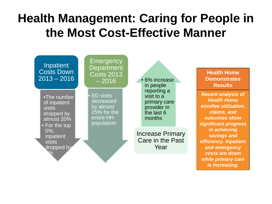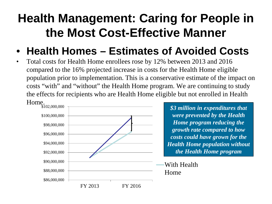### • **Health Homes – Estimates of Avoided Costs**

• Total costs for Health Home enrollees rose by 12% between 2013 and 2016 compared to the 16% projected increase in costs for the Health Home eligible population prior to implementation. This is a conservative estimate of the impact on costs "with" and "without" the Health Home program. We are continuing to study the effects for recipients who are Health Home eligible but not enrolled in Health Home.



*\$3 million in expenditures that were prevented by the Health Home program reducing the growth rate compared to how costs could have grown for the Health Home population without the Health Home program* 

With Health Home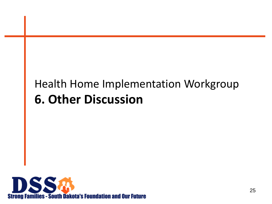## Health Home Implementation Workgroup **6. Other Discussion**

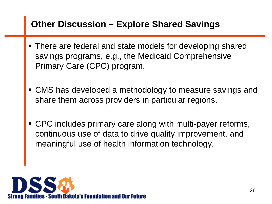#### **Other Discussion – Explore Shared Savings**

- There are federal and state models for developing shared savings programs, e.g., the Medicaid Comprehensive Primary Care (CPC) program.
- CMS has developed a methodology to measure savings and share them across providers in particular regions.
- CPC includes primary care along with multi-payer reforms, continuous use of data to drive quality improvement, and meaningful use of health information technology.

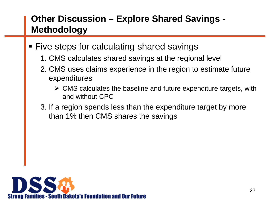### **Other Discussion – Explore Shared Savings - Methodology**

- **Five steps for calculating shared savings** 
	- 1. CMS calculates shared savings at the regional level
	- 2. CMS uses claims experience in the region to estimate future expenditures
		- $\triangleright$  CMS calculates the baseline and future expenditure targets, with and without CPC
	- 3. If a region spends less than the expenditure target by more than 1% then CMS shares the savings

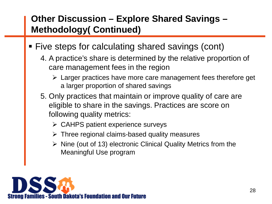### **Other Discussion – Explore Shared Savings – Methodology( Continued)**

- Five steps for calculating shared savings (cont)
	- 4. A practice's share is determined by the relative proportion of care management fees in the region
		- $\triangleright$  Larger practices have more care management fees therefore get a larger proportion of shared savings
	- 5. Only practices that maintain or improve quality of care are eligible to share in the savings. Practices are score on following quality metrics:
		- $\triangleright$  CAHPS patient experience surveys
		- $\triangleright$  Three regional claims-based quality measures
		- $\triangleright$  Nine (out of 13) electronic Clinical Quality Metrics from the Meaningful Use program

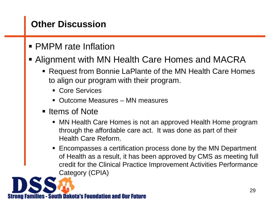### **Other Discussion**

**PMPM** rate Inflation

#### Alignment with MN Health Care Homes and MACRA

- Request from Bonnie LaPlante of the MN Health Care Homes to align our program with their program.
	- **Core Services**
	- Outcome Measures MN measures
- Items of Note
	- MN Health Care Homes is not an approved Health Home program through the affordable care act. It was done as part of their Health Care Reform.
	- Encompasses a certification process done by the MN Department of Health as a result, it has been approved by CMS as meeting full credit for the Clinical Practice Improvement Activities Performance Category (CPIA)

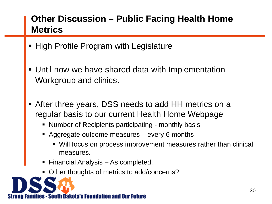### **Other Discussion – Public Facing Health Home Metrics**

- High Profile Program with Legislature
- Until now we have shared data with Implementation Workgroup and clinics.
- After three years, DSS needs to add HH metrics on a regular basis to our current Health Home Webpage
	- Number of Recipients participating monthly basis
	- Aggregate outcome measures every 6 months
		- Will focus on process improvement measures rather than clinical measures.
	- **Financial Analysis As completed.**
	- Other thoughts of metrics to add/concerns?